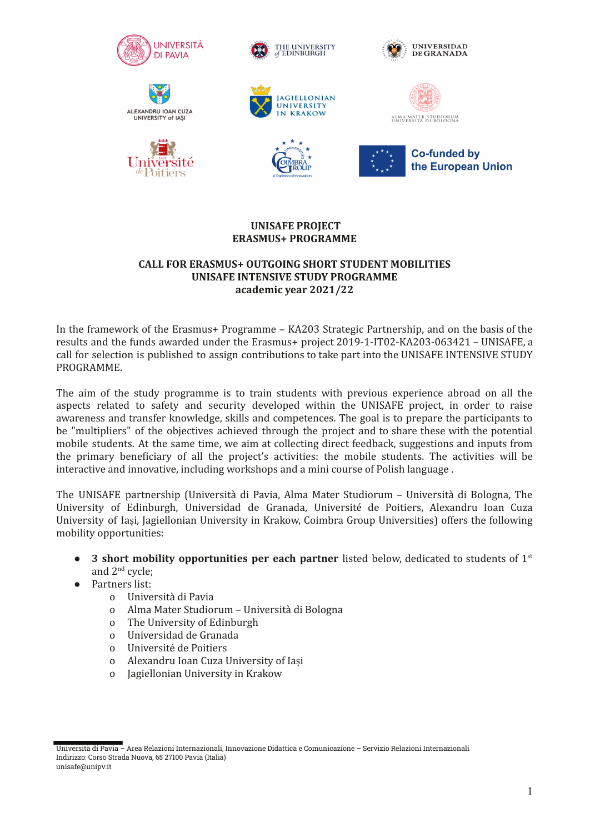















**Co-funded by** the European Union

## **UNISAFE PROJECT ERASMUS+ PROGRAMME**

#### **CALL FOR ERASMUS+ OUTGOING SHORT STUDENT MOBILITIES UNISAFE INTENSIVE STUDY PROGRAMME academic year 2021/22**

In the framework of the Erasmus+ Programme – KA203 Strategic Partnership, and on the basis of the results and the funds awarded under the Erasmus+ project 2019-1-IT02-KA203-063421 – UNISAFE, a call for selection is published to assign contributions to take part into the UNISAFE INTENSIVE STUDY PROGRAMME.

The aim of the study programme is to train students with previous experience abroad on all the aspects related to safety and security developed within the UNISAFE project, in order to raise awareness and transfer knowledge, skills and competences. The goal is to prepare the participants to be "multipliers" of the objectives achieved through the project and to share these with the potential mobile students. At the same time, we aim at collecting direct feedback, suggestions and inputs from the primary beneficiary of all the project's activities: the mobile students. The activities will be interactive and innovative, including workshops and a mini course of Polish language .

The UNISAFE partnership (Università di Pavia, Alma Mater Studiorum – Università di Bologna, The University of Edinburgh, Universidad de Granada, Université de Poitiers, Alexandru Ioan Cuza University of Iași, Jagiellonian University in Krakow, Coimbra Group Universities) offers the following mobility opportunities:

- **3 short mobility opportunities per each partner** listed below, dedicated to students of 1<sup>st</sup> and 2nd cycle;
- Partners list:
	- o Università di Pavia
	- o Alma Mater Studiorum Università di Bologna
	- o The University of Edinburgh
	- o Universidad de Granada
	- o Université de Poitiers
	- o Alexandru Ioan Cuza University of Iași
	- o Jagiellonian University in Krakow

Università di Pavia – Area Relazioni Internazionali, Innovazione Didattica e Comunicazione – Servizio Relazioni Internazionali Indirizzo: Corso Strada Nuova, 65 27100 Pavia (Italia) unisafe@unipv.it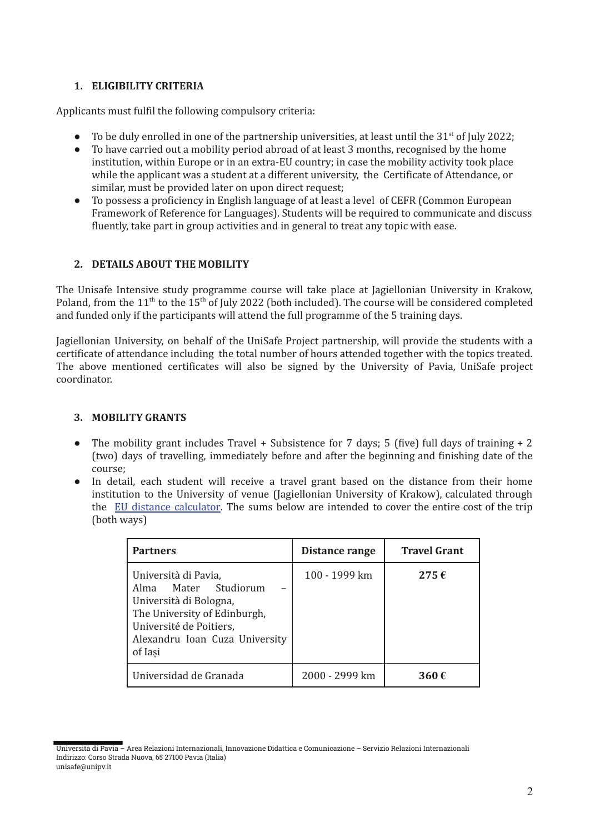# **1. ELIGIBILITY CRITERIA**

Applicants must fulfil the following compulsory criteria:

- To be duly enrolled in one of the partnership universities, at least until the  $31<sup>st</sup>$  of July 2022;
- To have carried out a mobility period abroad of at least 3 months, recognised by the home institution, within Europe or in an extra-EU country; in case the mobility activity took place while the applicant was a student at a different university, the Certificate of Attendance, or similar, must be provided later on upon direct request;
- To possess a proficiency in English language of at least a level of CEFR (Common European Framework of Reference for Languages). Students will be required to communicate and discuss fluently, take part in group activities and in general to treat any topic with ease.

### **2. DETAILS ABOUT THE MOBILITY**

The Unisafe Intensive study programme course will take place at Jagiellonian University in Krakow, Poland, from the  $11<sup>th</sup>$  to the  $15<sup>th</sup>$  of July 2022 (both included). The course will be considered completed and funded only if the participants will attend the full programme of the 5 training days.

Jagiellonian University, on behalf of the UniSafe Project partnership, will provide the students with a certificate of attendance including the total number of hours attended together with the topics treated. The above mentioned certificates will also be signed by the University of Pavia, UniSafe project coordinator.

### **3. MOBILITY GRANTS**

- The mobility grant includes Travel + Subsistence for 7 days; 5 (five) full days of training  $+2$ (two) days of travelling, immediately before and after the beginning and finishing date of the course;
- In detail, each student will receive a travel grant based on the distance from their home institution to the University of venue (Jagiellonian University of Krakow), calculated through the [EU distance calculator.](https://erasmus-plus.ec.europa.eu/resources-and-tools/distance-calculator) The sums below are intended to cover the entire cost of the trip (both ways)

| <b>Partners</b>                                                                                                                                                                | Distance range | <b>Travel Grant</b> |
|--------------------------------------------------------------------------------------------------------------------------------------------------------------------------------|----------------|---------------------|
| Università di Pavia,<br>Alma Mater Studiorum<br>Università di Bologna,<br>The University of Edinburgh,<br>Université de Poitiers,<br>Alexandru Ioan Cuza University<br>of Iasi | 100 - 1999 km  | $275 \,\epsilon$    |
| Universidad de Granada                                                                                                                                                         | 2000 - 2999 km | 360€                |

Università di Pavia – Area Relazioni Internazionali, Innovazione Didattica e Comunicazione – Servizio Relazioni Internazionali Indirizzo: Corso Strada Nuova, 65 27100 Pavia (Italia) unisafe@unipv.it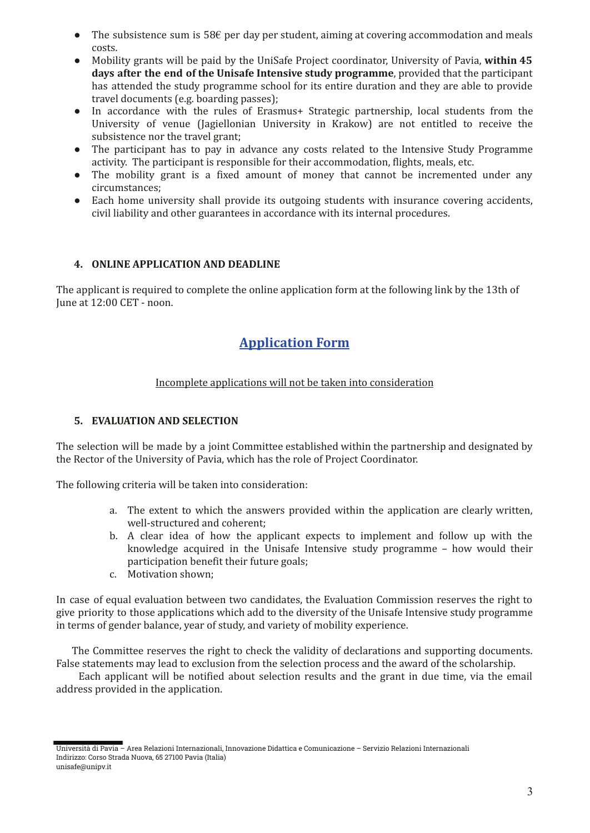- The subsistence sum is 58 $\epsilon$  per day per student, aiming at covering accommodation and meals costs.
- Mobility grants will be paid by the UniSafe Project coordinator, University of Pavia, **within 45 days after the end of the Unisafe Intensive study programme**, provided that the participant has attended the study programme school for its entire duration and they are able to provide travel documents (e.g. boarding passes);
- In accordance with the rules of Erasmus+ Strategic partnership, local students from the University of venue (Jagiellonian University in Krakow) are not entitled to receive the subsistence nor the travel grant;
- The participant has to pay in advance any costs related to the Intensive Study Programme activity. The participant is responsible for their accommodation, flights, meals, etc.
- The mobility grant is a fixed amount of money that cannot be incremented under any circumstances;
- Each home university shall provide its outgoing students with insurance covering accidents, civil liability and other guarantees in accordance with its internal procedures.

# **4. ONLINE APPLICATION AND DEADLINE**

The applicant is required to complete the online application form at the following link by the 13th of June at 12:00 CET - noon.

# **[Application Form](https://forms.office.com/Pages/ResponsePage.aspx?id=6yYO676_0keekOvSQm286_IqxvUkFddOrD8nhB0wo8VURVFYTE9XWkZHNEhXWk84UFRQR0kwTlIzUC4u)**

# Incomplete applications will not be taken into consideration

## **5. EVALUATION AND SELECTION**

The selection will be made by a joint Committee established within the partnership and designated by the Rector of the University of Pavia, which has the role of Project Coordinator.

The following criteria will be taken into consideration:

- a. The extent to which the answers provided within the application are clearly written, well-structured and coherent;
- b. A clear idea of how the applicant expects to implement and follow up with the knowledge acquired in the Unisafe Intensive study programme – how would their participation benefit their future goals;
- c. Motivation shown;

In case of equal evaluation between two candidates, the Evaluation Commission reserves the right to give priority to those applications which add to the diversity of the Unisafe Intensive study programme in terms of gender balance, year of study, and variety of mobility experience.

The Committee reserves the right to check the validity of declarations and supporting documents. False statements may lead to exclusion from the selection process and the award of the scholarship.

Each applicant will be notified about selection results and the grant in due time, via the email address provided in the application.

Università di Pavia – Area Relazioni Internazionali, Innovazione Didattica e Comunicazione – Servizio Relazioni Internazionali Indirizzo: Corso Strada Nuova, 65 27100 Pavia (Italia) unisafe@unipv.it